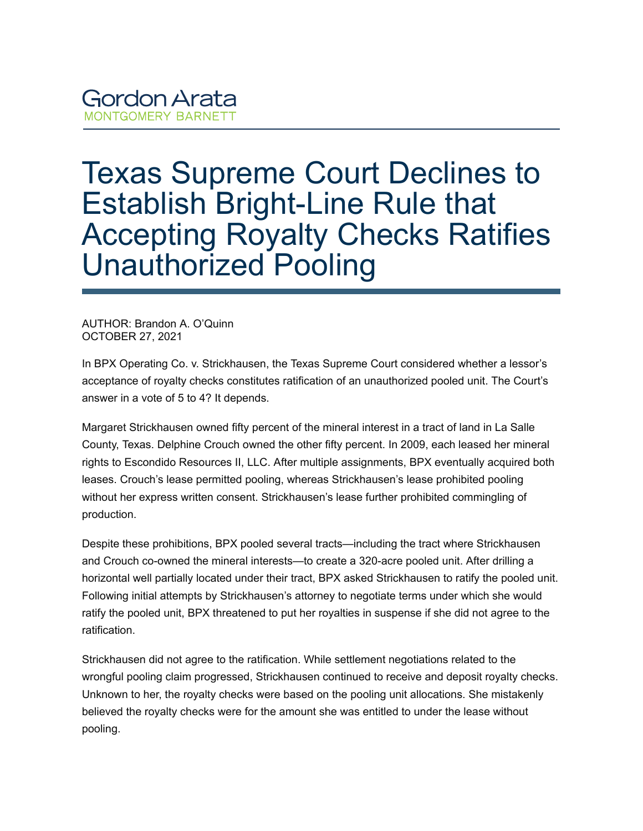## **Gordon Arata MONTGOMERY BARNETT**

## Texas Supreme Court Declines to Establish Bright-Line Rule that Accepting Royalty Checks Ratifies Unauthorized Pooling

AUTHOR: Brandon A. O'Quinn OCTOBER 27, 2021

In BPX Operating Co. v. Strickhausen, the Texas Supreme Court considered whether a lessor's acceptance of royalty checks constitutes ratification of an unauthorized pooled unit. The Court's answer in a vote of 5 to 4? It depends.

Margaret Strickhausen owned fifty percent of the mineral interest in a tract of land in La Salle County, Texas. Delphine Crouch owned the other fifty percent. In 2009, each leased her mineral rights to Escondido Resources II, LLC. After multiple assignments, BPX eventually acquired both leases. Crouch's lease permitted pooling, whereas Strickhausen's lease prohibited pooling without her express written consent. Strickhausen's lease further prohibited commingling of production.

Despite these prohibitions, BPX pooled several tracts—including the tract where Strickhausen and Crouch co-owned the mineral interests—to create a 320-acre pooled unit. After drilling a horizontal well partially located under their tract, BPX asked Strickhausen to ratify the pooled unit. Following initial attempts by Strickhausen's attorney to negotiate terms under which she would ratify the pooled unit, BPX threatened to put her royalties in suspense if she did not agree to the ratification.

Strickhausen did not agree to the ratification. While settlement negotiations related to the wrongful pooling claim progressed, Strickhausen continued to receive and deposit royalty checks. Unknown to her, the royalty checks were based on the pooling unit allocations. She mistakenly believed the royalty checks were for the amount she was entitled to under the lease without pooling.